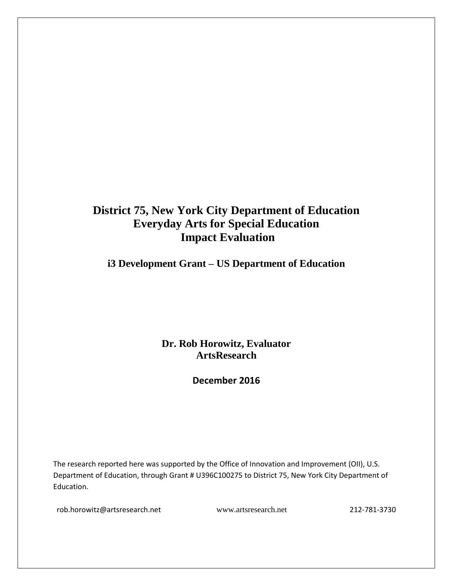## **District 75, New York City Department of Education Everyday Arts for Special Education Impact Evaluation**

**i3 Development Grant – US Department of Education**

**Dr. Rob Horowitz, Evaluator ArtsResearch**

**December 2016**

The research reported here was supported by the Office of Innovation and Improvement (OII), U.S. Department of Education, through Grant # U396C100275 to District 75, New York City Department of Education.

[rob.horowitz@artsresearch.net](mailto:rob.horowitz@artsresearch.net) [www.artsresearch.net](http://www.artsresearch.net/) 212-781-3730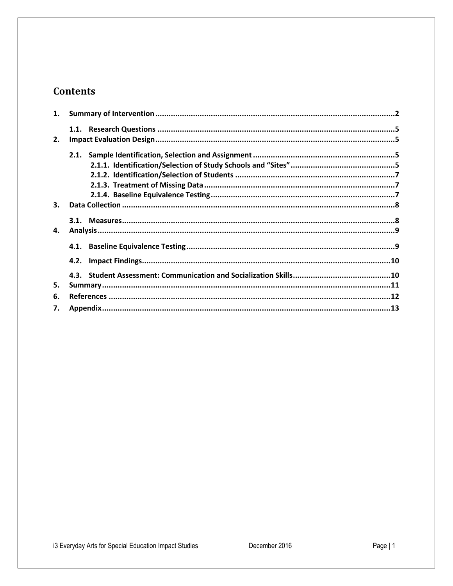### **Contents**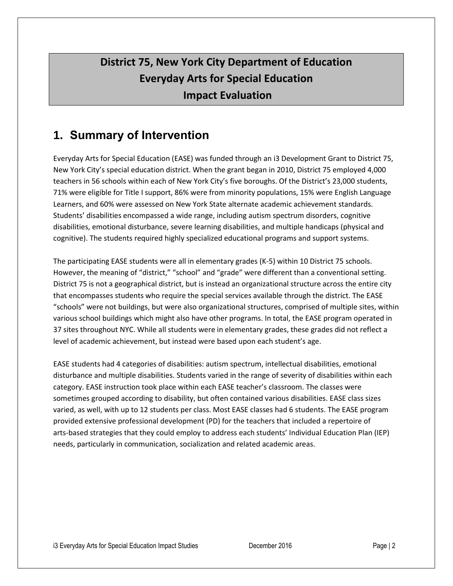# **District 75, New York City Department of Education Everyday Arts for Special Education Impact Evaluation**

## <span id="page-2-0"></span>**1. Summary of Intervention**

Everyday Arts for Special Education (EASE) was funded through an i3 Development Grant to District 75, New York City's special education district. When the grant began in 2010, District 75 employed 4,000 teachers in 56 schools within each of New York City's five boroughs. Of the District's 23,000 students, 71% were eligible for Title I support, 86% were from minority populations, 15% were English Language Learners, and 60% were assessed on New York State alternate academic achievement standards. Students' disabilities encompassed a wide range, including autism spectrum disorders, cognitive disabilities, emotional disturbance, severe learning disabilities, and multiple handicaps (physical and cognitive). The students required highly specialized educational programs and support systems.

The participating EASE students were all in elementary grades (K-5) within 10 District 75 schools. However, the meaning of "district," "school" and "grade" were different than a conventional setting. District 75 is not a geographical district, but is instead an organizational structure across the entire city that encompasses students who require the special services available through the district. The EASE "schools" were not buildings, but were also organizational structures, comprised of multiple sites, within various school buildings which might also have other programs. In total, the EASE program operated in 37 sites throughout NYC. While all students were in elementary grades, these grades did not reflect a level of academic achievement, but instead were based upon each student's age.

EASE students had 4 categories of disabilities: autism spectrum, intellectual disabilities, emotional disturbance and multiple disabilities. Students varied in the range of severity of disabilities within each category. EASE instruction took place within each EASE teacher's classroom. The classes were sometimes grouped according to disability, but often contained various disabilities. EASE class sizes varied, as well, with up to 12 students per class. Most EASE classes had 6 students. The EASE program provided extensive professional development (PD) for the teachers that included a repertoire of arts-based strategies that they could employ to address each students' Individual Education Plan (IEP) needs, particularly in communication, socialization and related academic areas.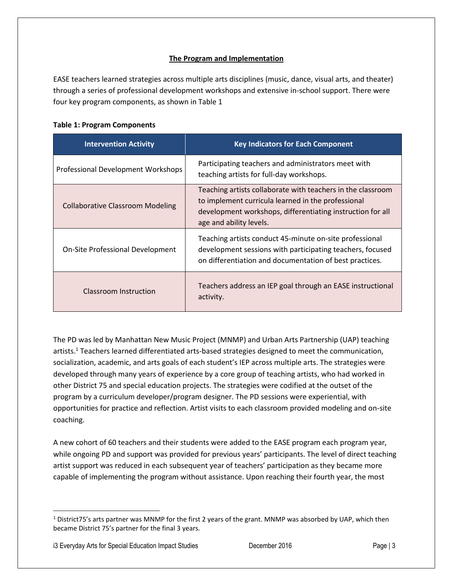#### **The Program and Implementation**

EASE teachers learned strategies across multiple arts disciplines (music, dance, visual arts, and theater) through a series of professional development workshops and extensive in-school support. There were four key program components, as shown in Table 1

| <b>Intervention Activity</b>            | <b>Key Indicators for Each Component</b>                                                                                                                                                                   |
|-----------------------------------------|------------------------------------------------------------------------------------------------------------------------------------------------------------------------------------------------------------|
| Professional Development Workshops      | Participating teachers and administrators meet with<br>teaching artists for full-day workshops.                                                                                                            |
| <b>Collaborative Classroom Modeling</b> | Teaching artists collaborate with teachers in the classroom<br>to implement curricula learned in the professional<br>development workshops, differentiating instruction for all<br>age and ability levels. |
| On-Site Professional Development        | Teaching artists conduct 45-minute on-site professional<br>development sessions with participating teachers, focused<br>on differentiation and documentation of best practices.                            |
| Classroom Instruction                   | Teachers address an IEP goal through an EASE instructional<br>activity.                                                                                                                                    |

The PD was led by Manhattan New Music Project (MNMP) and Urban Arts Partnership (UAP) teaching artists.<sup>1</sup> Teachers learned differentiated arts-based strategies designed to meet the communication, socialization, academic, and arts goals of each student's IEP across multiple arts. The strategies were developed through many years of experience by a core group of teaching artists, who had worked in other District 75 and special education projects. The strategies were codified at the outset of the program by a curriculum developer/program designer. The PD sessions were experiential, with opportunities for practice and reflection. Artist visits to each classroom provided modeling and on-site coaching.

A new cohort of 60 teachers and their students were added to the EASE program each program year, while ongoing PD and support was provided for previous years' participants. The level of direct teaching artist support was reduced in each subsequent year of teachers' participation as they became more capable of implementing the program without assistance. Upon reaching their fourth year, the most

i3 Everyday Arts for Special Education Impact Studies December 2016 **Page | 3** Page | 3

l

 $1$  District75's arts partner was MNMP for the first 2 years of the grant. MNMP was absorbed by UAP, which then became District 75's partner for the final 3 years.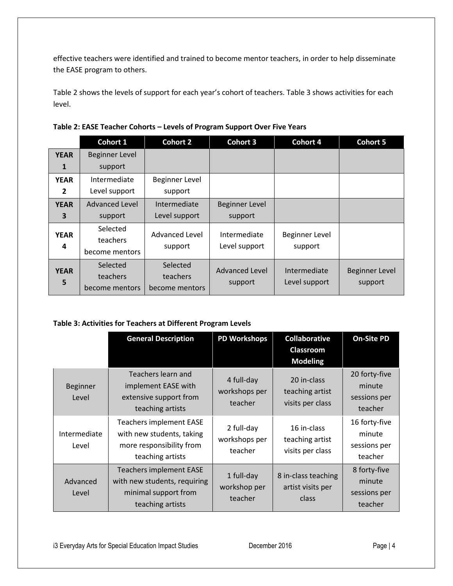effective teachers were identified and trained to become mentor teachers, in order to help disseminate the EASE program to others.

Table 2 shows the levels of support for each year's cohort of teachers. Table 3 shows activities for each level.

|                  | Cohort 1                               | <b>Cohort 2</b>                        | <b>Cohort 3</b>           | <b>Cohort 4</b>               | <b>Cohort 5</b>                  |
|------------------|----------------------------------------|----------------------------------------|---------------------------|-------------------------------|----------------------------------|
| <b>YEAR</b>      | <b>Beginner Level</b>                  |                                        |                           |                               |                                  |
| 1                | support                                |                                        |                           |                               |                                  |
| <b>YEAR</b>      | Intermediate                           | Beginner Level                         |                           |                               |                                  |
| 2                | Level support                          | support                                |                           |                               |                                  |
| <b>YEAR</b>      | <b>Advanced Level</b>                  | Intermediate                           | <b>Beginner Level</b>     |                               |                                  |
| 3                | support                                | Level support                          | support                   |                               |                                  |
| <b>YEAR</b>      | Selected<br>teachers                   | <b>Advanced Level</b>                  | Intermediate              | Beginner Level                |                                  |
| 4                | become mentors                         | support                                | Level support             | support                       |                                  |
| <b>YEAR</b><br>5 | Selected<br>teachers<br>become mentors | Selected<br>teachers<br>become mentors | Advanced Level<br>support | Intermediate<br>Level support | <b>Beginner Level</b><br>support |

#### **Table 3: Activities for Teachers at Different Program Levels**

|                       | <b>General Description</b>                                                                                 | <b>PD Workshops</b>                    | <b>Collaborative</b><br><b>Classroom</b><br><b>Modeling</b> | <b>On-Site PD</b>                                  |
|-----------------------|------------------------------------------------------------------------------------------------------------|----------------------------------------|-------------------------------------------------------------|----------------------------------------------------|
| Beginner<br>Level     | Teachers learn and<br>implement EASE with<br>extensive support from<br>teaching artists                    | 4 full-day<br>workshops per<br>teacher | 20 in-class<br>teaching artist<br>visits per class          | 20 forty-five<br>minute<br>sessions per<br>teacher |
| Intermediate<br>Level | Teachers implement EASE<br>with new students, taking<br>more responsibility from<br>teaching artists       | 2 full-day<br>workshops per<br>teacher | 16 in-class<br>teaching artist<br>visits per class          | 16 forty-five<br>minute<br>sessions per<br>teacher |
| Advanced<br>Level     | <b>Teachers implement EASE</b><br>with new students, requiring<br>minimal support from<br>teaching artists | 1 full-day<br>workshop per<br>teacher  | 8 in-class teaching<br>artist visits per<br>class           | 8 forty-five<br>minute<br>sessions per<br>teacher  |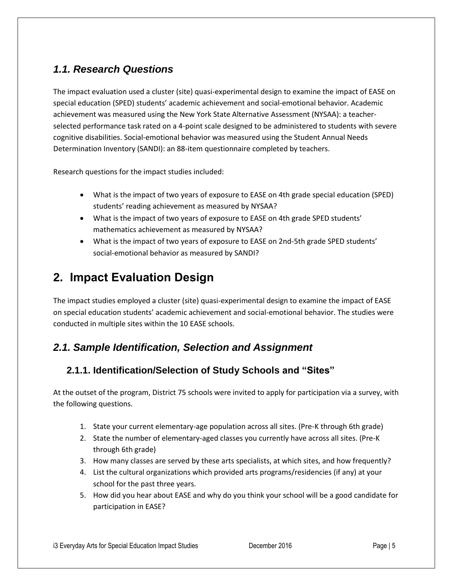### <span id="page-5-0"></span>*1.1. Research Questions*

The impact evaluation used a cluster (site) quasi-experimental design to examine the impact of EASE on special education (SPED) students' academic achievement and social-emotional behavior. Academic achievement was measured using the New York State Alternative Assessment (NYSAA): a teacherselected performance task rated on a 4-point scale designed to be administered to students with severe cognitive disabilities. Social-emotional behavior was measured using the Student Annual Needs Determination Inventory (SANDI): an 88-item questionnaire completed by teachers.

Research questions for the impact studies included:

- What is the impact of two years of exposure to EASE on 4th grade special education (SPED) students' reading achievement as measured by NYSAA?
- What is the impact of two years of exposure to EASE on 4th grade SPED students' mathematics achievement as measured by NYSAA?
- What is the impact of two years of exposure to EASE on 2nd-5th grade SPED students' social-emotional behavior as measured by SANDI?

# <span id="page-5-1"></span>**2. Impact Evaluation Design**

The impact studies employed a cluster (site) quasi-experimental design to examine the impact of EASE on special education students' academic achievement and social-emotional behavior. The studies were conducted in multiple sites within the 10 EASE schools.

### <span id="page-5-2"></span>*2.1. Sample Identification, Selection and Assignment*

### <span id="page-5-3"></span>**2.1.1. Identification/Selection of Study Schools and "Sites"**

At the outset of the program, District 75 schools were invited to apply for participation via a survey, with the following questions.

- 1. State your current elementary-age population across all sites. (Pre-K through 6th grade)
- 2. State the number of elementary-aged classes you currently have across all sites. (Pre-K through 6th grade)
- 3. How many classes are served by these arts specialists, at which sites, and how frequently?
- 4. List the cultural organizations which provided arts programs/residencies (if any) at your school for the past three years.
- 5. How did you hear about EASE and why do you think your school will be a good candidate for participation in EASE?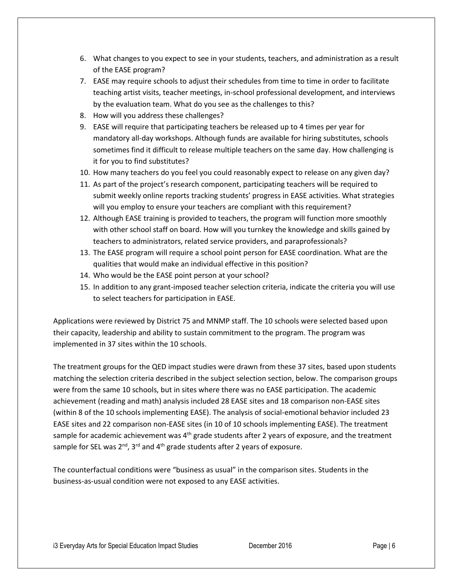- 6. What changes to you expect to see in your students, teachers, and administration as a result of the EASE program?
- 7. EASE may require schools to adjust their schedules from time to time in order to facilitate teaching artist visits, teacher meetings, in-school professional development, and interviews by the evaluation team. What do you see as the challenges to this?
- 8. How will you address these challenges?
- 9. EASE will require that participating teachers be released up to 4 times per year for mandatory all-day workshops. Although funds are available for hiring substitutes, schools sometimes find it difficult to release multiple teachers on the same day. How challenging is it for you to find substitutes?
- 10. How many teachers do you feel you could reasonably expect to release on any given day?
- 11. As part of the project's research component, participating teachers will be required to submit weekly online reports tracking students' progress in EASE activities. What strategies will you employ to ensure your teachers are compliant with this requirement?
- 12. Although EASE training is provided to teachers, the program will function more smoothly with other school staff on board. How will you turnkey the knowledge and skills gained by teachers to administrators, related service providers, and paraprofessionals?
- 13. The EASE program will require a school point person for EASE coordination. What are the qualities that would make an individual effective in this position?
- 14. Who would be the EASE point person at your school?
- 15. In addition to any grant-imposed teacher selection criteria, indicate the criteria you will use to select teachers for participation in EASE.

Applications were reviewed by District 75 and MNMP staff. The 10 schools were selected based upon their capacity, leadership and ability to sustain commitment to the program. The program was implemented in 37 sites within the 10 schools.

The treatment groups for the QED impact studies were drawn from these 37 sites, based upon students matching the selection criteria described in the subject selection section, below. The comparison groups were from the same 10 schools, but in sites where there was no EASE participation. The academic achievement (reading and math) analysis included 28 EASE sites and 18 comparison non-EASE sites (within 8 of the 10 schools implementing EASE). The analysis of social-emotional behavior included 23 EASE sites and 22 comparison non-EASE sites (in 10 of 10 schools implementing EASE). The treatment sample for academic achievement was  $4<sup>th</sup>$  grade students after 2 years of exposure, and the treatment sample for SEL was  $2^{nd}$ ,  $3^{rd}$  and  $4^{th}$  grade students after 2 years of exposure.

The counterfactual conditions were "business as usual" in the comparison sites. Students in the business-as-usual condition were not exposed to any EASE activities.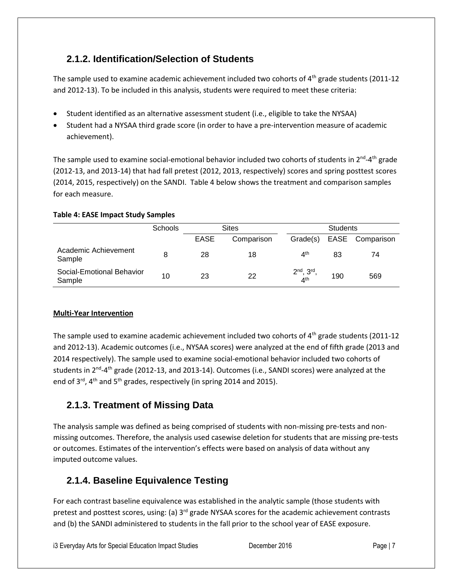### <span id="page-7-0"></span>**2.1.2. Identification/Selection of Students**

The sample used to examine academic achievement included two cohorts of  $4<sup>th</sup>$  grade students (2011-12) and 2012-13). To be included in this analysis, students were required to meet these criteria:

- Student identified as an alternative assessment student (i.e., eligible to take the NYSAA)
- Student had a NYSAA third grade score (in order to have a pre-intervention measure of academic achievement).

The sample used to examine social-emotional behavior included two cohorts of students in 2<sup>nd</sup>-4<sup>th</sup> grade (2012-13, and 2013-14) that had fall pretest (2012, 2013, respectively) scores and spring posttest scores (2014, 2015, respectively) on the SANDI. Table 4 below shows the treatment and comparison samples for each measure.

#### **Table 4: EASE Impact Study Samples**

|                                     | <b>Schools</b> |                           | <b>Sites</b> | <b>Students</b>                    |     |                 |  |
|-------------------------------------|----------------|---------------------------|--------------|------------------------------------|-----|-----------------|--|
|                                     |                | <b>EASE</b><br>Comparison |              | Grade(s)                           |     | EASE Comparison |  |
| Academic Achievement<br>Sample      | 8              | 28                        | 18           | 4 <sup>th</sup>                    | 83  | 74              |  |
| Social-Emotional Behavior<br>Sample | 10             | 23                        | 22           | $2nd$ , $3rd$ ,<br>4 <sup>th</sup> | 190 | 569             |  |

#### **Multi-Year Intervention**

The sample used to examine academic achievement included two cohorts of  $4<sup>th</sup>$  grade students (2011-12) and 2012-13). Academic outcomes (i.e., NYSAA scores) were analyzed at the end of fifth grade (2013 and 2014 respectively). The sample used to examine social-emotional behavior included two cohorts of students in 2<sup>nd</sup>-4<sup>th</sup> grade (2012-13, and 2013-14). Outcomes (i.e., SANDI scores) were analyzed at the end of  $3^{rd}$ , 4<sup>th</sup> and  $5^{th}$  grades, respectively (in spring 2014 and 2015).

### <span id="page-7-1"></span>**2.1.3. Treatment of Missing Data**

The analysis sample was defined as being comprised of students with non-missing pre-tests and nonmissing outcomes. Therefore, the analysis used casewise deletion for students that are missing pre-tests or outcomes. Estimates of the intervention's effects were based on analysis of data without any imputed outcome values.

### <span id="page-7-2"></span>**2.1.4. Baseline Equivalence Testing**

For each contrast baseline equivalence was established in the analytic sample (those students with pretest and posttest scores, using: (a) 3<sup>rd</sup> grade NYSAA scores for the academic achievement contrasts and (b) the SANDI administered to students in the fall prior to the school year of EASE exposure.

i3 Everyday Arts for Special Education Impact Studies December 2016 **Page 17** Page | 7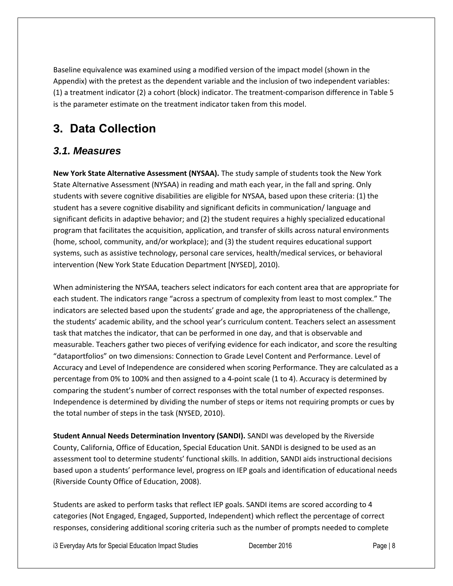Baseline equivalence was examined using a modified version of the impact model (shown in the Appendix) with the pretest as the dependent variable and the inclusion of two independent variables: (1) a treatment indicator (2) a cohort (block) indicator. The treatment-comparison difference in Table 5 is the parameter estimate on the treatment indicator taken from this model.

# <span id="page-8-0"></span>**3. Data Collection**

### <span id="page-8-1"></span>*3.1. Measures*

**New York State Alternative Assessment (NYSAA).** The study sample of students took the New York State Alternative Assessment (NYSAA) in reading and math each year, in the fall and spring. Only students with severe cognitive disabilities are eligible for NYSAA, based upon these criteria: (1) the student has a severe cognitive disability and significant deficits in communication/ language and significant deficits in adaptive behavior; and (2) the student requires a highly specialized educational program that facilitates the acquisition, application, and transfer of skills across natural environments (home, school, community, and/or workplace); and (3) the student requires educational support systems, such as assistive technology, personal care services, health/medical services, or behavioral intervention (New York State Education Department [NYSED], 2010).

When administering the NYSAA, teachers select indicators for each content area that are appropriate for each student. The indicators range "across a spectrum of complexity from least to most complex." The indicators are selected based upon the students' grade and age, the appropriateness of the challenge, the students' academic ability, and the school year's curriculum content. Teachers select an assessment task that matches the indicator, that can be performed in one day, and that is observable and measurable. Teachers gather two pieces of verifying evidence for each indicator, and score the resulting "dataportfolios" on two dimensions: Connection to Grade Level Content and Performance. Level of Accuracy and Level of Independence are considered when scoring Performance. They are calculated as a percentage from 0% to 100% and then assigned to a 4-point scale (1 to 4). Accuracy is determined by comparing the student's number of correct responses with the total number of expected responses. Independence is determined by dividing the number of steps or items not requiring prompts or cues by the total number of steps in the task (NYSED, 2010).

**Student Annual Needs Determination Inventory (SANDI).** SANDI was developed by the Riverside County, California, Office of Education, Special Education Unit. SANDI is designed to be used as an assessment tool to determine students' functional skills. In addition, SANDI aids instructional decisions based upon a students' performance level, progress on IEP goals and identification of educational needs (Riverside County Office of Education, 2008).

Students are asked to perform tasks that reflect IEP goals. SANDI items are scored according to 4 categories (Not Engaged, Engaged, Supported, Independent) which reflect the percentage of correct responses, considering additional scoring criteria such as the number of prompts needed to complete

i3 Everyday Arts for Special Education Impact Studies December 2016 **Page | 8** Page | 8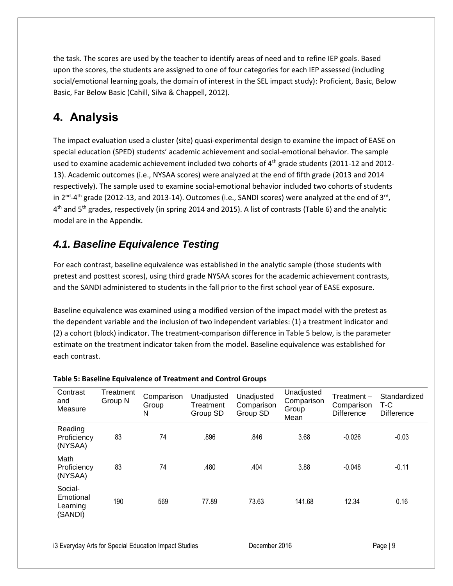the task. The scores are used by the teacher to identify areas of need and to refine IEP goals. Based upon the scores, the students are assigned to one of four categories for each IEP assessed (including social/emotional learning goals, the domain of interest in the SEL impact study): Proficient, Basic, Below Basic, Far Below Basic (Cahill, Silva & Chappell, 2012).

# <span id="page-9-0"></span>**4. Analysis**

The impact evaluation used a cluster (site) quasi-experimental design to examine the impact of EASE on special education (SPED) students' academic achievement and social-emotional behavior. The sample used to examine academic achievement included two cohorts of 4<sup>th</sup> grade students (2011-12 and 2012-13). Academic outcomes (i.e., NYSAA scores) were analyzed at the end of fifth grade (2013 and 2014 respectively). The sample used to examine social-emotional behavior included two cohorts of students in 2<sup>nd</sup>-4<sup>th</sup> grade (2012-13, and 2013-14). Outcomes (i.e., SANDI scores) were analyzed at the end of 3<sup>rd</sup>, 4<sup>th</sup> and 5<sup>th</sup> grades, respectively (in spring 2014 and 2015). A list of contrasts (Table 6) and the analytic model are in the Appendix.

## <span id="page-9-1"></span>*4.1. Baseline Equivalence Testing*

For each contrast, baseline equivalence was established in the analytic sample (those students with pretest and posttest scores), using third grade NYSAA scores for the academic achievement contrasts, and the SANDI administered to students in the fall prior to the first school year of EASE exposure.

Baseline equivalence was examined using a modified version of the impact model with the pretest as the dependent variable and the inclusion of two independent variables: (1) a treatment indicator and (2) a cohort (block) indicator. The treatment-comparison difference in Table 5 below, is the parameter estimate on the treatment indicator taken from the model. Baseline equivalence was established for each contrast.

| Contrast<br>and<br>Measure                  | Treatment<br>Group N | Comparison<br>Group<br>N | Unadjusted<br>Treatment<br>Group SD | Unadjusted<br>Comparison<br>Group SD | Unadjusted<br>Comparison<br>Group<br>Mean | $T$ reatment $-$<br>Comparison<br><b>Difference</b> | Standardized<br>T-C<br>Difference |
|---------------------------------------------|----------------------|--------------------------|-------------------------------------|--------------------------------------|-------------------------------------------|-----------------------------------------------------|-----------------------------------|
| Reading<br>Proficiency<br>(NYSAA)           | 83                   | 74                       | .896                                | .846                                 | 3.68                                      | $-0.026$                                            | $-0.03$                           |
| Math<br>Proficiency<br>(NYSAA)              | 83                   | 74                       | .480                                | .404                                 | 3.88                                      | $-0.048$                                            |                                   |
| Social-<br>Emotional<br>Learning<br>(SANDI) | 190                  | 569                      | 77.89                               | 73.63                                | 141.68                                    | 12.34                                               | 0.16                              |

#### **Table 5: Baseline Equivalence of Treatment and Control Groups**

i3 Everyday Arts for Special Education Impact Studies December 2016 **Page 19** Page | 9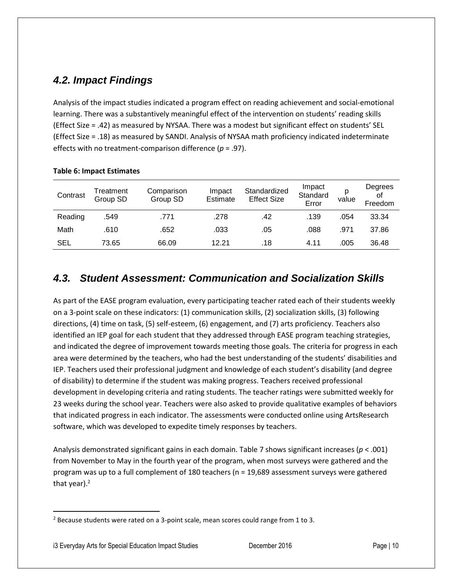### <span id="page-10-0"></span>*4.2. Impact Findings*

Analysis of the impact studies indicated a program effect on reading achievement and social-emotional learning. There was a substantively meaningful effect of the intervention on students' reading skills (Effect Size = .42) as measured by NYSAA. There was a modest but significant effect on students' SEL (Effect Size = .18) as measured by SANDI. Analysis of NYSAA math proficiency indicated indeterminate effects with no treatment-comparison difference (*p* = .97).

| Contrast | Treatment<br>Group SD | Comparison<br>Group SD | Impact<br>Estimate | Standardized<br><b>Effect Size</b> | Impact<br>Standard<br>Error | р<br>value | Degrees<br>of<br>Freedom |
|----------|-----------------------|------------------------|--------------------|------------------------------------|-----------------------------|------------|--------------------------|
| Reading  | .549                  | .771                   | .278               | .42                                | .139                        | .054       | 33.34                    |
| Math     | .610                  | .652                   | .033               | .05                                | .088                        | .971       | 37.86                    |
| SEL      | 73.65                 | 66.09                  | 12.21              | .18                                | 4.11                        | .005       | 36.48                    |

#### **Table 6: Impact Estimates**

### <span id="page-10-1"></span>*4.3. Student Assessment: Communication and Socialization Skills*

As part of the EASE program evaluation, every participating teacher rated each of their students weekly on a 3-point scale on these indicators: (1) communication skills, (2) socialization skills, (3) following directions, (4) time on task, (5) self-esteem, (6) engagement, and (7) arts proficiency. Teachers also identified an IEP goal for each student that they addressed through EASE program teaching strategies, and indicated the degree of improvement towards meeting those goals. The criteria for progress in each area were determined by the teachers, who had the best understanding of the students' disabilities and IEP. Teachers used their professional judgment and knowledge of each student's disability (and degree of disability) to determine if the student was making progress. Teachers received professional development in developing criteria and rating students. The teacher ratings were submitted weekly for 23 weeks during the school year. Teachers were also asked to provide qualitative examples of behaviors that indicated progress in each indicator. The assessments were conducted online using ArtsResearch software, which was developed to expedite timely responses by teachers.

Analysis demonstrated significant gains in each domain. Table 7 shows significant increases (*p* < .001) from November to May in the fourth year of the program, when most surveys were gathered and the program was up to a full complement of 180 teachers (n = 19,689 assessment surveys were gathered that year).<sup>2</sup>

l

<sup>2</sup> Because students were rated on a 3-point scale, mean scores could range from 1 to 3.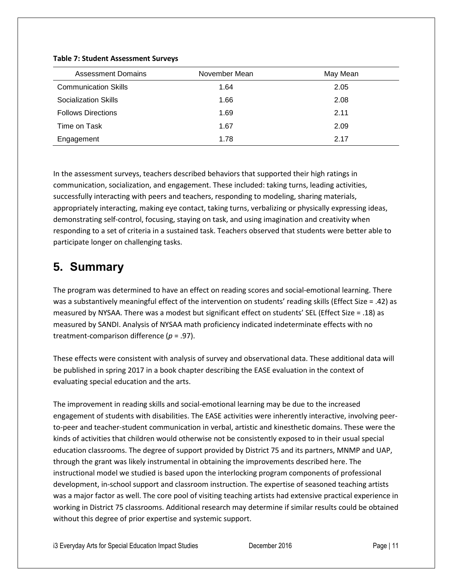| <b>Assessment Domains</b>   | November Mean | May Mean |
|-----------------------------|---------------|----------|
| <b>Communication Skills</b> | 1.64          | 2.05     |
| Socialization Skills        | 1.66          | 2.08     |
| <b>Follows Directions</b>   | 1.69          | 2.11     |
| Time on Task                | 1.67          | 2.09     |
| Engagement                  | 1.78          | 2.17     |

#### **Table 7: Student Assessment Surveys**

In the assessment surveys, teachers described behaviors that supported their high ratings in communication, socialization, and engagement. These included: taking turns, leading activities, successfully interacting with peers and teachers, responding to modeling, sharing materials, appropriately interacting, making eye contact, taking turns, verbalizing or physically expressing ideas, demonstrating self-control, focusing, staying on task, and using imagination and creativity when responding to a set of criteria in a sustained task. Teachers observed that students were better able to participate longer on challenging tasks.

## <span id="page-11-0"></span>**5. Summary**

The program was determined to have an effect on reading scores and social-emotional learning. There was a substantively meaningful effect of the intervention on students' reading skills (Effect Size = .42) as measured by NYSAA. There was a modest but significant effect on students' SEL (Effect Size = .18) as measured by SANDI. Analysis of NYSAA math proficiency indicated indeterminate effects with no treatment-comparison difference (*p* = .97).

These effects were consistent with analysis of survey and observational data. These additional data will be published in spring 2017 in a book chapter describing the EASE evaluation in the context of evaluating special education and the arts.

The improvement in reading skills and social-emotional learning may be due to the increased engagement of students with disabilities. The EASE activities were inherently interactive, involving peerto-peer and teacher-student communication in verbal, artistic and kinesthetic domains. These were the kinds of activities that children would otherwise not be consistently exposed to in their usual special education classrooms. The degree of support provided by District 75 and its partners, MNMP and UAP, through the grant was likely instrumental in obtaining the improvements described here. The instructional model we studied is based upon the interlocking program components of professional development, in-school support and classroom instruction. The expertise of seasoned teaching artists was a major factor as well. The core pool of visiting teaching artists had extensive practical experience in working in District 75 classrooms. Additional research may determine if similar results could be obtained without this degree of prior expertise and systemic support.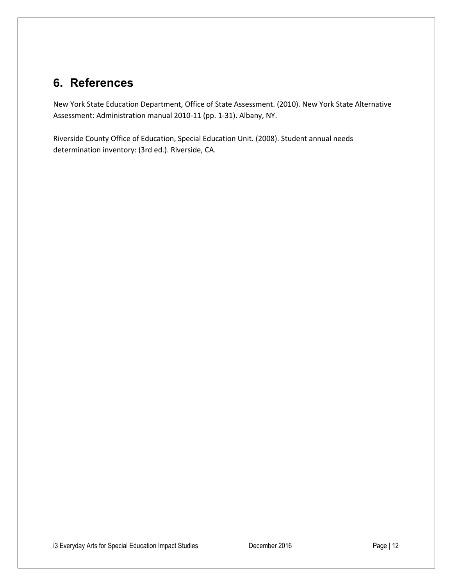## <span id="page-12-0"></span>**6. References**

New York State Education Department, Office of State Assessment. (2010). New York State Alternative Assessment: Administration manual 2010-11 (pp. 1-31). Albany, NY.

Riverside County Office of Education, Special Education Unit. (2008). Student annual needs determination inventory: (3rd ed.). Riverside, CA.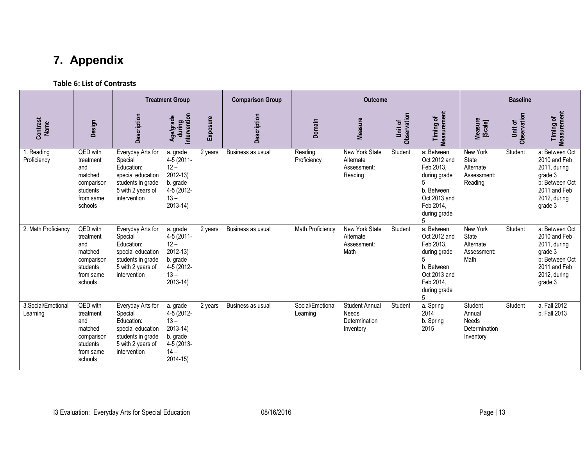# **7. Appendix**

#### **Table 6: List of Contrasts**

<span id="page-13-0"></span>

|                                 |                                                                                           |                                                                                                                           | <b>Treatment Group</b>                                                                             |          | <b>Comparison Group</b> | <b>Outcome</b>               |                                                              |                               | <b>Baseline</b>                                                                                                         |                                                                 |                               |                                                                                                                        |
|---------------------------------|-------------------------------------------------------------------------------------------|---------------------------------------------------------------------------------------------------------------------------|----------------------------------------------------------------------------------------------------|----------|-------------------------|------------------------------|--------------------------------------------------------------|-------------------------------|-------------------------------------------------------------------------------------------------------------------------|-----------------------------------------------------------------|-------------------------------|------------------------------------------------------------------------------------------------------------------------|
| Contrast<br>Name                | Design                                                                                    | Description                                                                                                               | during<br>intervention<br>Age/grade                                                                | Exposure | <b>Description</b>      | Domain                       | Measure                                                      | <b>Observation</b><br>Unit of | Timing of<br>Measurement                                                                                                | Measure<br>[Scale]                                              | <b>Observation</b><br>Unit of | Timing of<br>Measurement                                                                                               |
| 1. Reading<br>Proficiency       | QED with<br>treatment<br>and<br>matched<br>comparison<br>students<br>from same<br>schools | Everyday Arts for<br>Special<br>Education:<br>special education<br>students in grade<br>5 with 2 years of<br>intervention | a. grade<br>4-5 (2011-<br>$12 -$<br>$2012 - 13$<br>b. grade<br>4-5 (2012-<br>$13 -$<br>$2013 - 14$ | 2 years  | Business as usual       | Reading<br>Proficiency       | New York State<br>Alternate<br>Assessment:<br>Reading        | Student                       | a: Between<br>Oct 2012 and<br>Feb 2013,<br>during grade<br>b. Between<br>Oct 2013 and<br>Feb 2014,<br>during grade      | New York<br><b>State</b><br>Alternate<br>Assessment:<br>Reading | Student                       | a: Between Oct<br>2010 and Feb<br>2011, during<br>grade 3<br>b: Between Oct<br>2011 and Feb<br>2012, during<br>grade 3 |
| 2. Math Proficiency             | QED with<br>treatment<br>and<br>matched<br>comparison<br>students<br>from same<br>schools | Everyday Arts for<br>Special<br>Education:<br>special education<br>students in grade<br>5 with 2 years of<br>intervention | a. grade<br>4-5 (2011-<br>$12 -$<br>2012-13)<br>b. grade<br>4-5 (2012-<br>$13 -$<br>2013-14)       | 2 years  | Business as usual       | Math Proficiency             | New York State<br>Alternate<br>Assessment:<br>Math           | Student                       | a: Between<br>Oct 2012 and<br>Feb 2013,<br>during grade<br>b. Between<br>Oct 2013 and<br>Feb 2014,<br>during grade<br>5 | New York<br><b>State</b><br>Alternate<br>Assessment:<br>Math    | Student                       | a: Between Oct<br>2010 and Feb<br>2011, during<br>grade 3<br>b: Between Oct<br>2011 and Feb<br>2012, during<br>grade 3 |
| 3. Social/Emotional<br>Learning | QED with<br>treatment<br>and<br>matched<br>comparison<br>students<br>from same<br>schools | Everyday Arts for<br>Special<br>Education:<br>special education<br>students in grade<br>5 with 2 years of<br>intervention | a. grade<br>4-5 (2012-<br>$13 -$<br>$2013 - 14$<br>b. grade<br>4-5 (2013-<br>$14 -$<br>$2014 - 15$ | 2 years  | Business as usual       | Social/Emotional<br>Learning | <b>Student Annual</b><br>Needs<br>Determination<br>Inventory | Student                       | a. Spring<br>2014<br>b. Spring<br>2015                                                                                  | Student<br>Annual<br><b>Needs</b><br>Determination<br>Inventory | Student                       | a. Fall 2012<br>b. Fall 2013                                                                                           |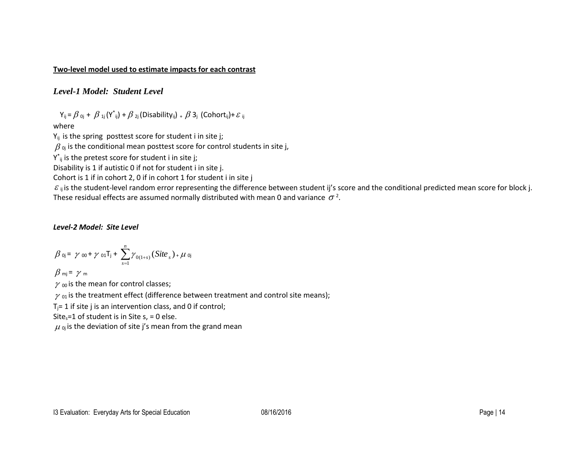#### **Two-level model used to estimate impacts for each contrast**

*Level-1 Model: Student Level*

 $Y_{ij} = \beta_{0j} + \beta_{1j}(Y^*_{ij}) + \beta_{2j}(Disability_{ij}) + \beta_{3j}(Cohort_{ij}) + \varepsilon_{ij}$ 

where

 $Y_{ij}$  is the spring posttest score for student i in site j;

 $\beta$   $_{0j}$  is the conditional mean posttest score for control students in site j,

 $Y^*_{ij}$  is the pretest score for student i in site j;

Disability is 1 if autistic 0 if not for student i in site j.

Cohort is 1 if in cohort 2, 0 if in cohort 1 for student i in site j

 $\varepsilon$ <sub>ij</sub> is the student-level random error representing the difference between student ij's score and the conditional predicted mean score for block j. These residual effects are assumed normally distributed with mean 0 and variance  $\sigma^2$ .

#### *Level-2 Model: Site Level*

$$
\beta_{0j} = \gamma_{00} + \gamma_{01}T_j + \sum_{s=1}^{n} \gamma_{0(1+s)}(Site_s)_{+} \mu_{0j}
$$

 $\beta$  mj =  $\ \gamma$  m

 $\gamma$  00 is the mean for control classes;

 $\gamma$  <sub>01</sub> is the treatment effect (difference between treatment and control site means);

 $T_i$ = 1 if site j is an intervention class, and 0 if control;

Site<sub>s</sub>=1 of student is in Site s, = 0 else.

 $\mu$   $_{\text{0j}}$  is the deviation of site j's mean from the grand mean